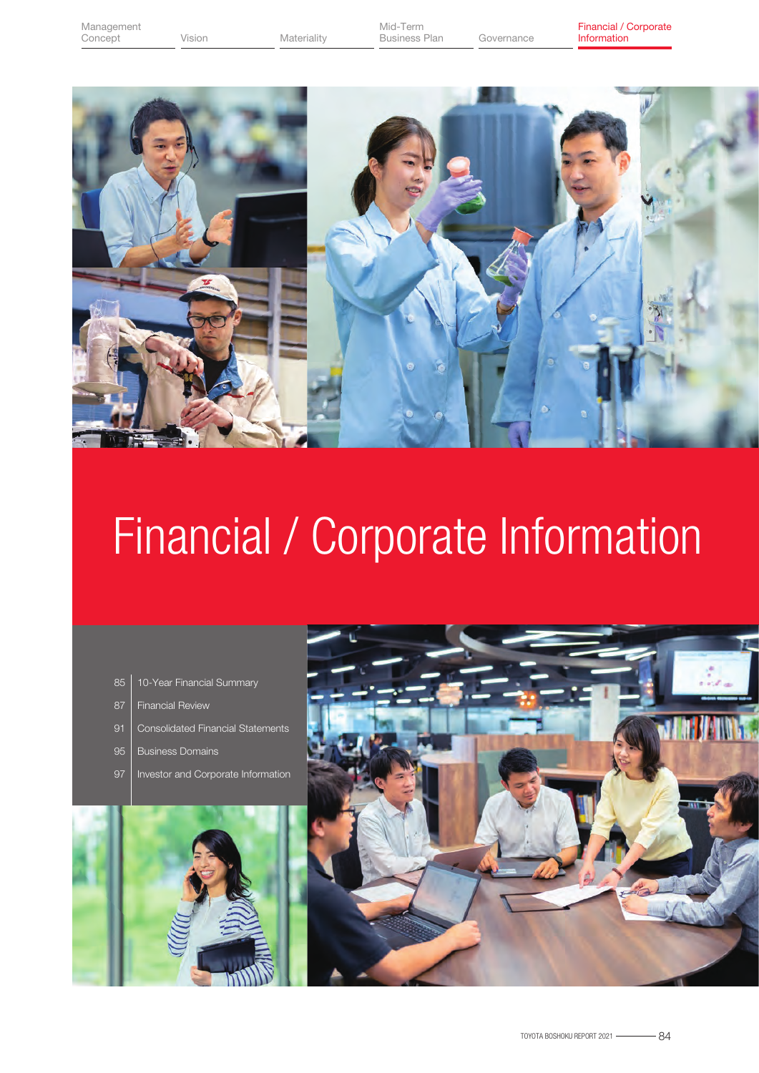Vision Materiality Business Plan



# Financial / Corporate Information

- 10-Year Financial Summary
- Financial Review 87
- Consolidated Financial Statements
- Business Domains 95
- Investor and Corporate Information



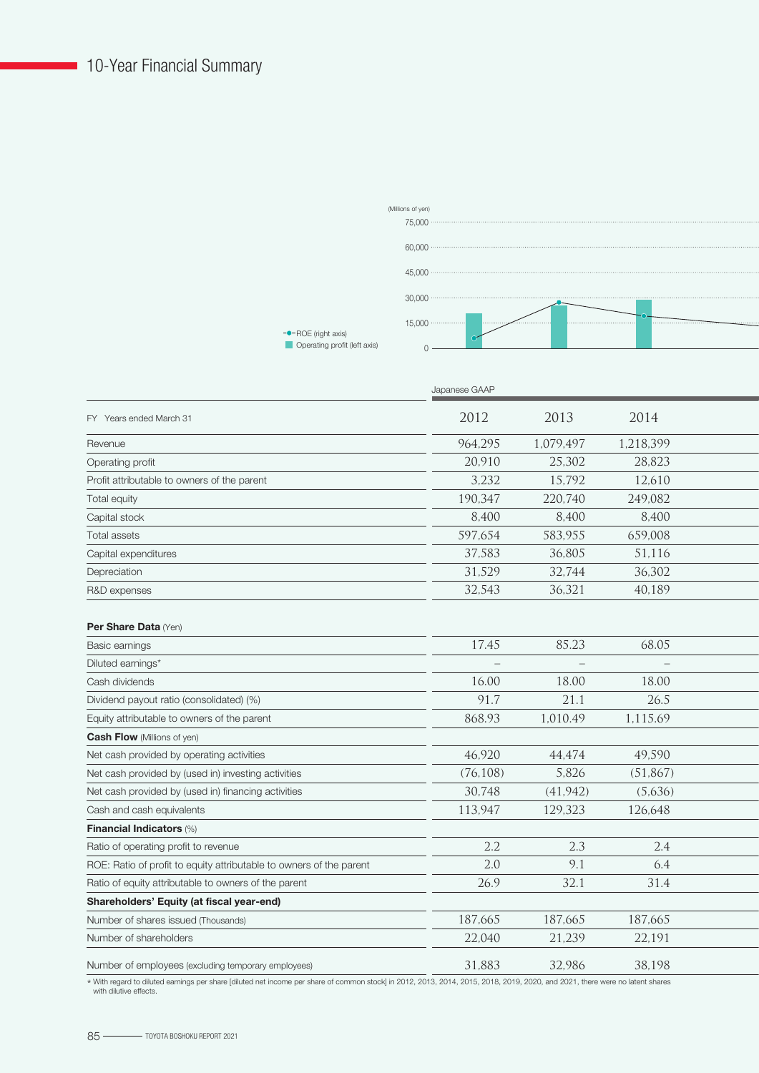

|                                                                     | Japanese GAAP |           |           |  |
|---------------------------------------------------------------------|---------------|-----------|-----------|--|
| FY Years ended March 31                                             | 2012          | 2013      | 2014      |  |
| Revenue                                                             | 964,295       | 1,079,497 | 1,218,399 |  |
| Operating profit                                                    | 20,910        | 25,302    | 28,823    |  |
| Profit attributable to owners of the parent                         | 3,232         | 15,792    | 12,610    |  |
| Total equity                                                        | 190,347       | 220,740   | 249,082   |  |
| Capital stock                                                       | 8,400         | 8,400     | 8,400     |  |
| Total assets                                                        | 597,654       | 583,955   | 659,008   |  |
| Capital expenditures                                                | 37,583        | 36.805    | 51,116    |  |
| Depreciation                                                        | 31,529        | 32,744    | 36,302    |  |
| R&D expenses                                                        | 32,543        | 36,321    | 40,189    |  |
| Per Share Data (Yen)                                                |               |           |           |  |
| Basic earnings                                                      | 17.45         | 85.23     | 68.05     |  |
| Diluted earnings*                                                   |               |           |           |  |
| Cash dividends                                                      | 16.00         | 18.00     | 18.00     |  |
| Dividend payout ratio (consolidated) (%)                            | 91.7          | 21.1      | 26.5      |  |
| Equity attributable to owners of the parent                         | 868.93        | 1,010.49  | 1,115.69  |  |
| <b>Cash Flow</b> (Millions of yen)                                  |               |           |           |  |
| Net cash provided by operating activities                           | 46,920        | 44,474    | 49,590    |  |
| Net cash provided by (used in) investing activities                 | (76, 108)     | 5,826     | (51, 867) |  |
| Net cash provided by (used in) financing activities                 | 30,748        | (41, 942) | (5,636)   |  |
| Cash and cash equivalents                                           | 113,947       | 129,323   | 126,648   |  |
| <b>Financial Indicators (%)</b>                                     |               |           |           |  |
| Ratio of operating profit to revenue                                | 2.2           | 2.3       | 2.4       |  |
| ROE: Ratio of profit to equity attributable to owners of the parent | 2.0           | 9.1       | 6.4       |  |
| Ratio of equity attributable to owners of the parent                | 26.9          | 32.1      | 31.4      |  |
| Shareholders' Equity (at fiscal year-end)                           |               |           |           |  |
| Number of shares issued (Thousands)                                 | 187,665       | 187,665   | 187,665   |  |
| Number of shareholders                                              | 22,040        | 21,239    | 22.191    |  |
| Number of employees (excluding temporary employees)                 | 31,883        | 32,986    | 38,198    |  |

\* With regard to diluted earnings per share [diluted net income per share of common stock] in 2012, 2013, 2014, 2015, 2018, 2019, 2020, and 2021, there were no latent shares with dilutive effects.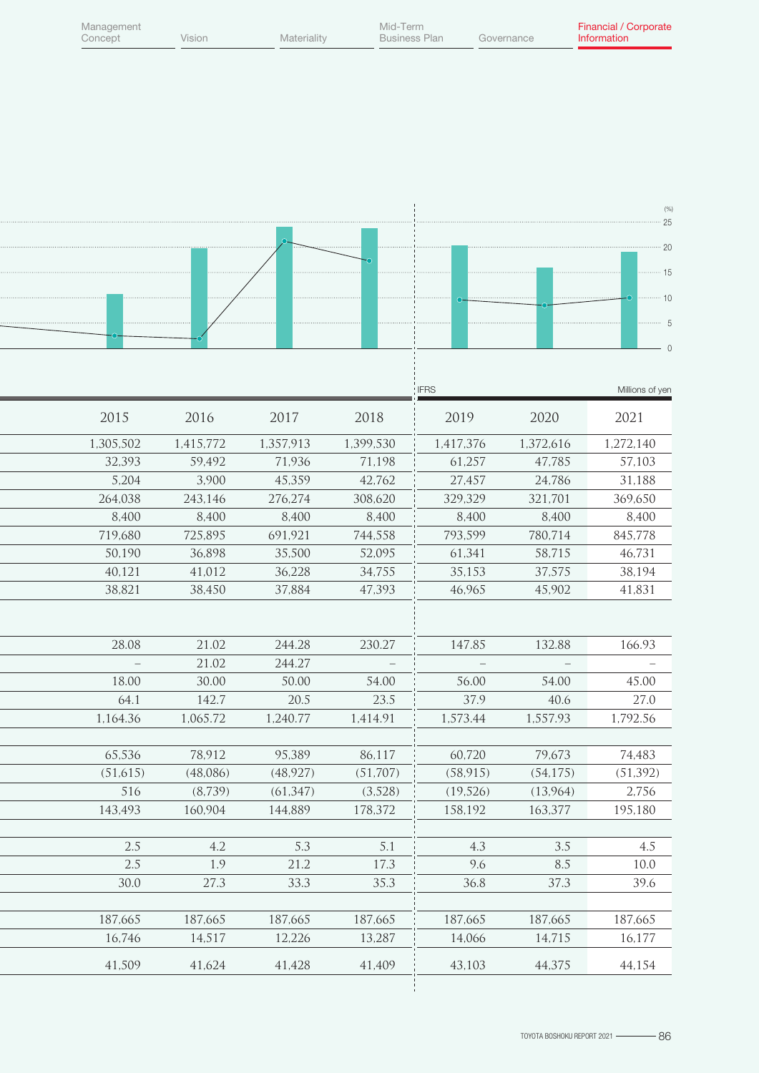| Management<br>Concept | Vision            | Materiality      | Mid-Term          | <b>Business Plan</b> | Governance       | Financial / Corporate<br>Information |
|-----------------------|-------------------|------------------|-------------------|----------------------|------------------|--------------------------------------|
|                       |                   |                  |                   |                      |                  |                                      |
|                       |                   |                  |                   |                      |                  |                                      |
|                       |                   |                  |                   |                      |                  |                                      |
|                       |                   |                  |                   |                      |                  |                                      |
|                       |                   |                  |                   |                      |                  |                                      |
|                       |                   |                  |                   |                      |                  | (% )                                 |
|                       |                   |                  |                   |                      |                  | $-25$                                |
|                       |                   |                  |                   |                      |                  | $-20$                                |
|                       |                   |                  |                   |                      |                  | ⋯ 15                                 |
|                       |                   |                  |                   |                      |                  | 10                                   |
|                       |                   |                  |                   |                      |                  | -5                                   |
|                       |                   |                  |                   |                      |                  |                                      |
|                       |                   |                  |                   |                      |                  |                                      |
|                       |                   |                  |                   | <b>IFRS</b>          |                  | Millions of yen                      |
|                       |                   |                  |                   |                      |                  |                                      |
| 2015                  | 2016              | 2017             | 2018              | 2019                 | 2020             | 2021                                 |
| 1,305,502             | 1,415,772         | 1,357,913        | 1,399,530         | 1,417,376            | 1,372,616        | 1,272,140                            |
| 32,393                | 59,492            | 71,936           | 71,198            | 61,257               | 47,785           | 57,103                               |
| 5,204                 | 3,900             | 45,359           | 42,762            | 27,457               | 24,786           | 31,188                               |
| 264,038<br>8,400      | 243,146<br>8,400  | 276,274<br>8,400 | 308,620<br>8,400  | 329,329<br>8,400     | 321,701<br>8,400 | 369,650<br>8,400                     |
| 719,680               | 725,895           | 691,921          | 744,558           | 793,599              | 780,714          | 845,778                              |
| 50,190                | 36,898            | 35,500           | 52,095            | 61,341               | 58,715           | 46,731                               |
| 40,121                | 41,012            | 36,228           | 34,755            | 35,153               | 37,575           | 38,194                               |
| 38,821                | 38,450            | 37,884           | 47,393            | 46,965               | 45,902           | 41,831                               |
|                       |                   |                  |                   |                      |                  |                                      |
|                       |                   |                  |                   |                      |                  |                                      |
| 28.08                 | 21.02             | 244.28           | 230.27            | 147.85               | 132.88           | 166.93                               |
|                       | 21.02             | 244.27           |                   |                      |                  |                                      |
| 18.00                 | 30.00             | 50.00            | 54.00             | 56.00                | 54.00            | 45.00                                |
| 64.1<br>1,164.36      | 142.7             | 20.5             | 23.5              | 37.9                 | 40.6             | 27.0                                 |
|                       | 1,065.72          | 1,240.77         | 1,414.91          | 1,573.44             | 1,557.93         | 1,792.56                             |
| 65,536                | 78,912            | 95,389           | 86,117            | 60,720               | 79,673           | 74,483                               |
| (51,615)              | (48,086)          | (48, 927)        | (51, 707)         | (58, 915)            | (54, 175)        | (51, 392)                            |
| 516                   | (8,739)           | (61, 347)        | (3,528)           | (19,526)             | (13,964)         | 2,756                                |
| 143,493               | 160,904           | 144,889          | 178,372           | 158,192              | 163,377          | 195,180                              |
|                       |                   |                  |                   |                      |                  |                                      |
| 2.5                   | 4.2               | 5.3              | 5.1               | 4.3                  | 3.5              | 4.5                                  |
| 2.5                   | 1.9               | 21.2             | 17.3              | 9.6                  | 8.5              | 10.0                                 |
| 30.0                  | 27.3              | 33.3             | 35.3              | 36.8                 | 37.3             | 39.6                                 |
|                       |                   |                  |                   |                      |                  |                                      |
| 187,665<br>16,746     | 187,665<br>14,517 | 187,665          | 187,665<br>13,287 | 187,665<br>14,066    | 187,665          | 187,665                              |
|                       |                   | 12,226           |                   |                      | 14,715           | 16,177                               |
| 41,509                | 41,624            | 41,428           | 41,409            | 43,103               | 44,375           | 44,154                               |
|                       |                   |                  |                   |                      |                  |                                      |

Ξ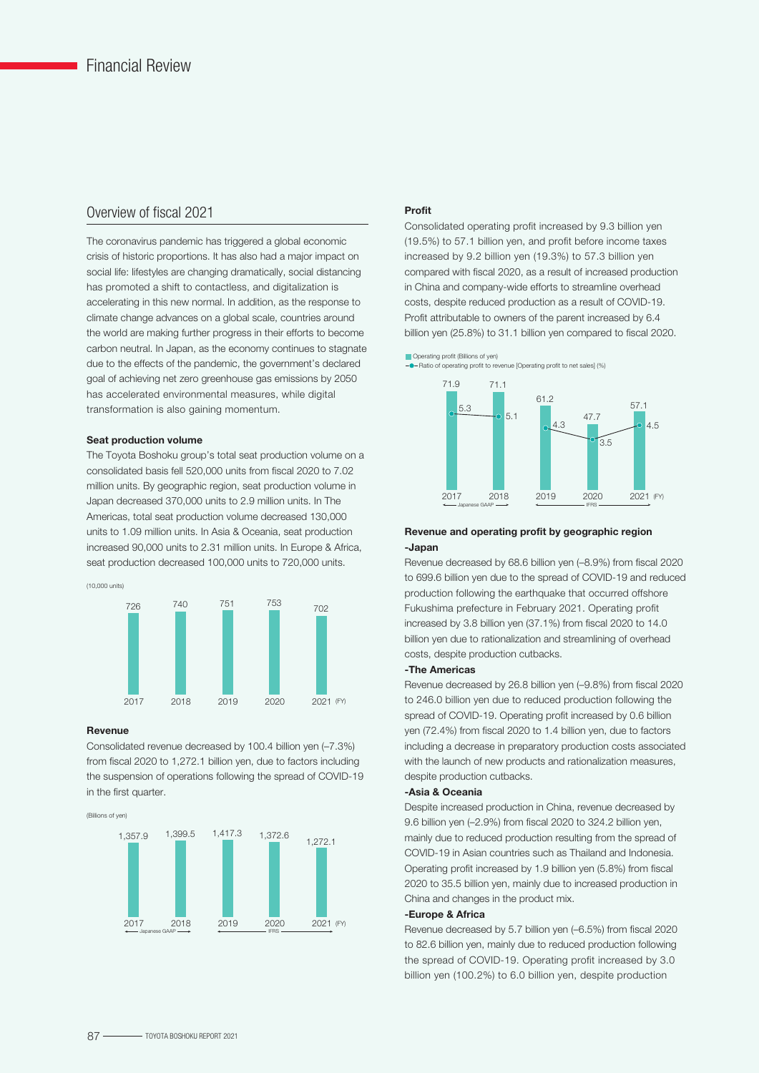#### Overview of fiscal 2021

The coronavirus pandemic has triggered a global economic crisis of historic proportions. It has also had a major impact on social life: lifestyles are changing dramatically, social distancing has promoted a shift to contactless, and digitalization is accelerating in this new normal. In addition, as the response to climate change advances on a global scale, countries around the world are making further progress in their efforts to become carbon neutral. In Japan, as the economy continues to stagnate due to the effects of the pandemic, the government's declared goal of achieving net zero greenhouse gas emissions by 2050 has accelerated environmental measures, while digital transformation is also gaining momentum.

#### Seat production volume

The Toyota Boshoku group's total seat production volume on a consolidated basis fell 520,000 units from fiscal 2020 to 7.02 million units. By geographic region, seat production volume in Japan decreased 370,000 units to 2.9 million units. In The Americas, total seat production volume decreased 130,000 units to 1.09 million units. In Asia & Oceania, seat production increased 90,000 units to 2.31 million units. In Europe & Africa, seat production decreased 100,000 units to 720,000 units.



#### Revenue

Consolidated revenue decreased by 100.4 billion yen (–7.3%) from fiscal 2020 to 1,272.1 billion yen, due to factors including the suspension of operations following the spread of COVID-19 in the first quarter.





#### Profit

Consolidated operating profit increased by 9.3 billion yen (19.5%) to 57.1 billion yen, and profit before income taxes increased by 9.2 billion yen (19.3%) to 57.3 billion yen compared with fiscal 2020, as a result of increased production in China and company-wide efforts to streamline overhead costs, despite reduced production as a result of COVID-19. Profit attributable to owners of the parent increased by 6.4 billion yen (25.8%) to 31.1 billion yen compared to fiscal 2020.





#### Revenue and operating profit by geographic region -Japan

Revenue decreased by 68.6 billion yen (–8.9%) from fiscal 2020 to 699.6 billion yen due to the spread of COVID-19 and reduced production following the earthquake that occurred offshore Fukushima prefecture in February 2021. Operating profit increased by 3.8 billion yen (37.1%) from fiscal 2020 to 14.0 billion yen due to rationalization and streamlining of overhead costs, despite production cutbacks.

#### -The Americas

Revenue decreased by 26.8 billion yen (–9.8%) from fiscal 2020 to 246.0 billion yen due to reduced production following the spread of COVID-19. Operating profit increased by 0.6 billion yen (72.4%) from fiscal 2020 to 1.4 billion yen, due to factors including a decrease in preparatory production costs associated with the launch of new products and rationalization measures, despite production cutbacks.

#### -Asia & Oceania

Despite increased production in China, revenue decreased by 9.6 billion yen (–2.9%) from fiscal 2020 to 324.2 billion yen, mainly due to reduced production resulting from the spread of COVID-19 in Asian countries such as Thailand and Indonesia. Operating profit increased by 1.9 billion yen (5.8%) from fiscal 2020 to 35.5 billion yen, mainly due to increased production in China and changes in the product mix.

#### -Europe & Africa

Revenue decreased by 5.7 billion yen (–6.5%) from fiscal 2020 to 82.6 billion yen, mainly due to reduced production following the spread of COVID-19. Operating profit increased by 3.0 billion yen (100.2%) to 6.0 billion yen, despite production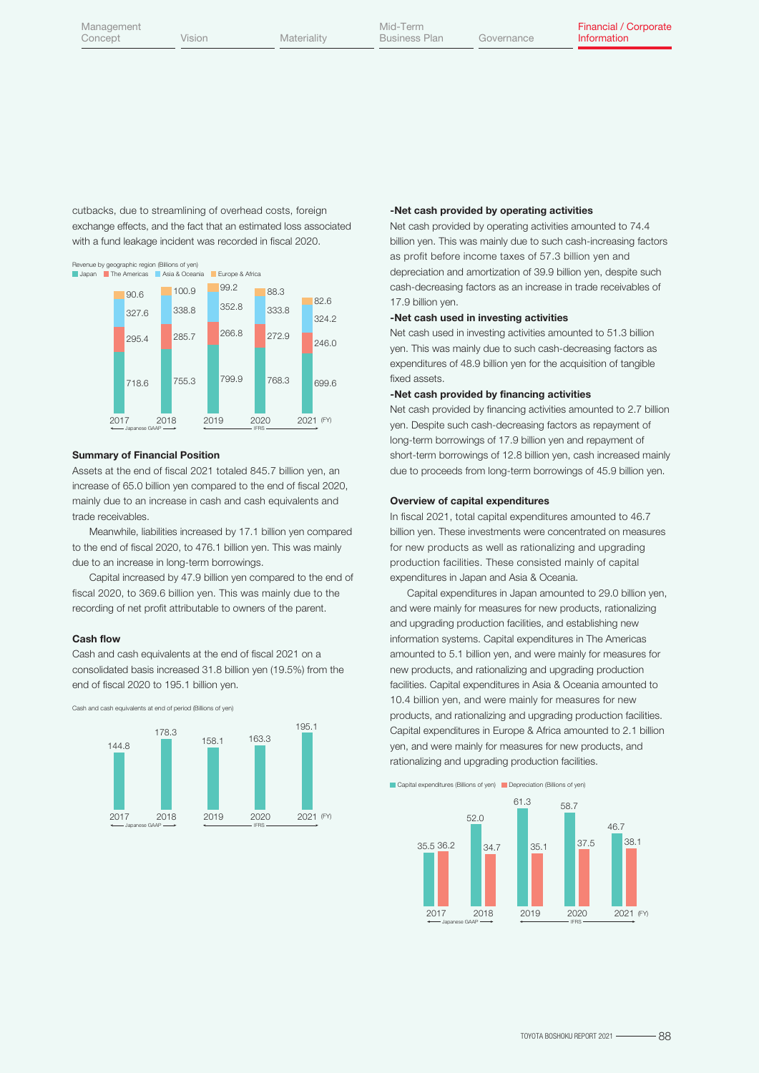cutbacks, due to streamlining of overhead costs, foreign exchange effects, and the fact that an estimated loss associated with a fund leakage incident was recorded in fiscal 2020.



#### Summary of Financial Position

Assets at the end of fiscal 2021 totaled 845.7 billion yen, an increase of 65.0 billion yen compared to the end of fiscal 2020, mainly due to an increase in cash and cash equivalents and trade receivables.

 Meanwhile, liabilities increased by 17.1 billion yen compared to the end of fiscal 2020, to 476.1 billion yen. This was mainly due to an increase in long-term borrowings.

 Capital increased by 47.9 billion yen compared to the end of fiscal 2020, to 369.6 billion yen. This was mainly due to the recording of net profit attributable to owners of the parent.

#### Cash flow

Cash and cash equivalents at the end of fiscal 2021 on a consolidated basis increased 31.8 billion yen (19.5%) from the end of fiscal 2020 to 195.1 billion yen.

Cash and cash equivalents at end of period (Billions of yen)



#### -Net cash provided by operating activities

Net cash provided by operating activities amounted to 74.4 billion yen. This was mainly due to such cash-increasing factors as profit before income taxes of 57.3 billion yen and depreciation and amortization of 39.9 billion yen, despite such cash-decreasing factors as an increase in trade receivables of 17.9 billion yen.

#### -Net cash used in investing activities

Net cash used in investing activities amounted to 51.3 billion yen. This was mainly due to such cash-decreasing factors as expenditures of 48.9 billion yen for the acquisition of tangible fixed assets.

#### -Net cash provided by financing activities

Net cash provided by financing activities amounted to 2.7 billion yen. Despite such cash-decreasing factors as repayment of long-term borrowings of 17.9 billion yen and repayment of short-term borrowings of 12.8 billion yen, cash increased mainly due to proceeds from long-term borrowings of 45.9 billion yen.

#### Overview of capital expenditures

In fiscal 2021, total capital expenditures amounted to 46.7 billion yen. These investments were concentrated on measures for new products as well as rationalizing and upgrading production facilities. These consisted mainly of capital expenditures in Japan and Asia & Oceania.

 Capital expenditures in Japan amounted to 29.0 billion yen, and were mainly for measures for new products, rationalizing and upgrading production facilities, and establishing new information systems. Capital expenditures in The Americas amounted to 5.1 billion yen, and were mainly for measures for new products, and rationalizing and upgrading production facilities. Capital expenditures in Asia & Oceania amounted to 10.4 billion yen, and were mainly for measures for new products, and rationalizing and upgrading production facilities. Capital expenditures in Europe & Africa amounted to 2.1 billion yen, and were mainly for measures for new products, and rationalizing and upgrading production facilities.

Capital expenditures (Billions of yen) Depreciation (Billions of yen)

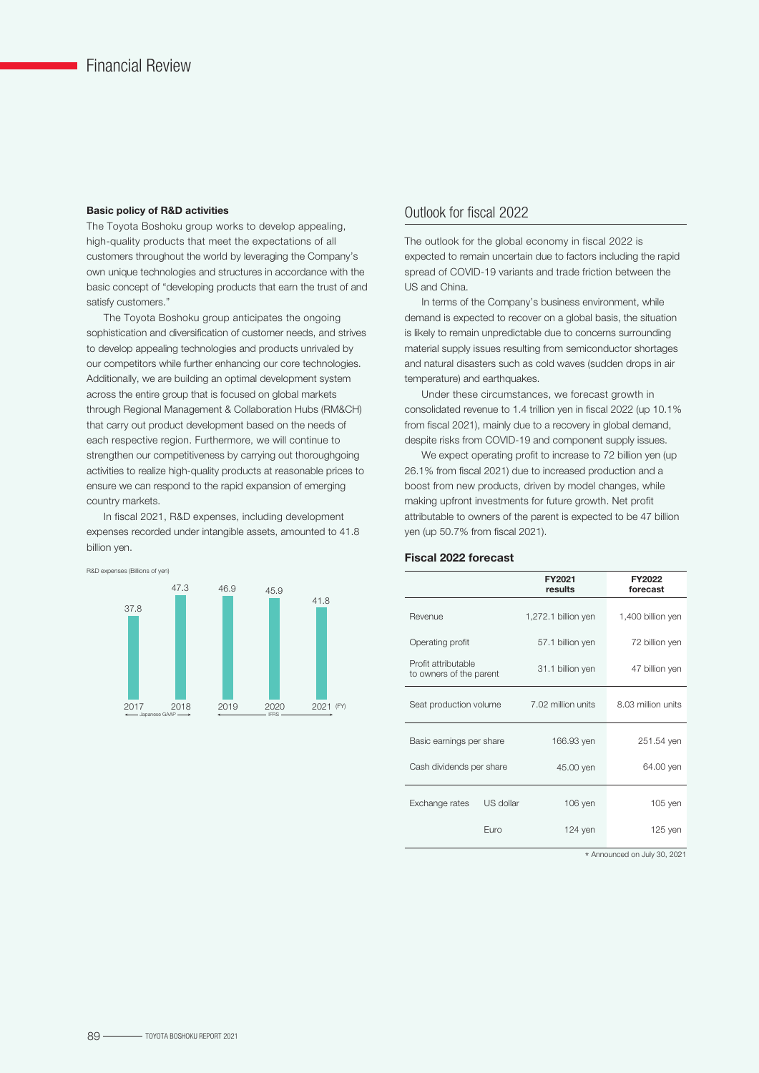#### Basic policy of R&D activities

The Toyota Boshoku group works to develop appealing, high-quality products that meet the expectations of all customers throughout the world by leveraging the Company's own unique technologies and structures in accordance with the basic concept of "developing products that earn the trust of and satisfy customers."

 The Toyota Boshoku group anticipates the ongoing sophistication and diversification of customer needs, and strives to develop appealing technologies and products unrivaled by our competitors while further enhancing our core technologies. Additionally, we are building an optimal development system across the entire group that is focused on global markets through Regional Management & Collaboration Hubs (RM&CH) that carry out product development based on the needs of each respective region. Furthermore, we will continue to strengthen our competitiveness by carrying out thoroughgoing activities to realize high-quality products at reasonable prices to ensure we can respond to the rapid expansion of emerging country markets.

 In fiscal 2021, R&D expenses, including development expenses recorded under intangible assets, amounted to 41.8 billion yen.



#### Outlook for fiscal 2022

The outlook for the global economy in fiscal 2022 is expected to remain uncertain due to factors including the rapid spread of COVID-19 variants and trade friction between the US and China.

In terms of the Company's business environment, while demand is expected to recover on a global basis, the situation is likely to remain unpredictable due to concerns surrounding material supply issues resulting from semiconductor shortages and natural disasters such as cold waves (sudden drops in air temperature) and earthquakes.

 Under these circumstances, we forecast growth in consolidated revenue to 1.4 trillion yen in fiscal 2022 (up 10.1% from fiscal 2021), mainly due to a recovery in global demand, despite risks from COVID-19 and component supply issues.

We expect operating profit to increase to 72 billion yen (up) 26.1% from fiscal 2021) due to increased production and a boost from new products, driven by model changes, while making upfront investments for future growth. Net profit attributable to owners of the parent is expected to be 47 billion yen (up 50.7% from fiscal 2021).

#### Fiscal 2022 forecast

|                                                |           | FY2021<br>results   | FY2022<br>forecast |
|------------------------------------------------|-----------|---------------------|--------------------|
| Revenue                                        |           | 1,272.1 billion yen | 1,400 billion yen  |
| Operating profit                               |           | 57.1 billion yen    | 72 billion yen     |
| Profit attributable<br>to owners of the parent |           | 31.1 billion yen    | 47 billion yen     |
| Seat production volume                         |           | 7.02 million units  | 8.03 million units |
| Basic earnings per share                       |           | 166.93 yen          | 251.54 yen         |
| Cash dividends per share                       |           | 45.00 yen           | 64.00 yen          |
| Exchange rates                                 | US dollar | 106 yen             | 105 yen            |
|                                                | Euro      | $124$ yen           | 125 yen            |

\* Announced on July 30, 2021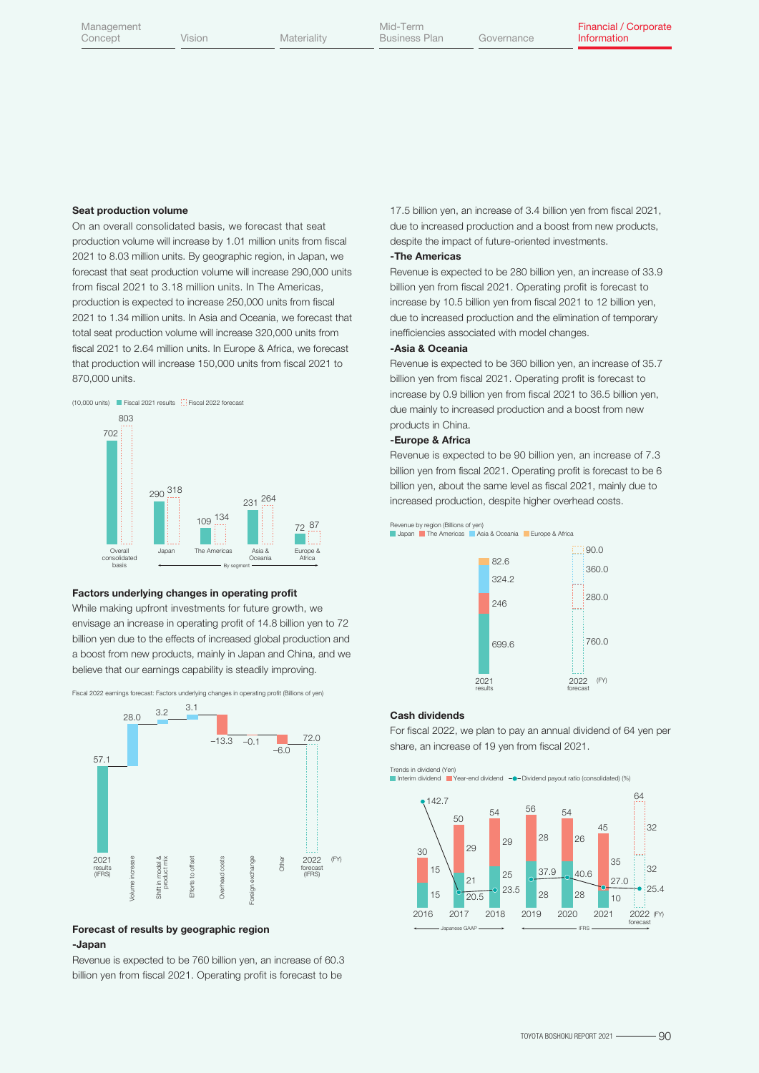#### Seat production volume

On an overall consolidated basis, we forecast that seat production volume will increase by 1.01 million units from fiscal 2021 to 8.03 million units. By geographic region, in Japan, we forecast that seat production volume will increase 290,000 units from fiscal 2021 to 3.18 million units. In The Americas, production is expected to increase 250,000 units from fiscal 2021 to 1.34 million units. In Asia and Oceania, we forecast that total seat production volume will increase 320,000 units from fiscal 2021 to 2.64 million units. In Europe & Africa, we forecast that production will increase 150,000 units from fiscal 2021 to 870,000 units.



#### Factors underlying changes in operating profit

While making upfront investments for future growth, we envisage an increase in operating profit of 14.8 billion yen to 72 billion yen due to the effects of increased global production and a boost from new products, mainly in Japan and China, and we believe that our earnings capability is steadily improving.



#### Forecast of results by geographic region -Japan

Revenue is expected to be 760 billion yen, an increase of 60.3 billion yen from fiscal 2021. Operating profit is forecast to be

17.5 billion yen, an increase of 3.4 billion yen from fiscal 2021, due to increased production and a boost from new products, despite the impact of future-oriented investments.

#### -The Americas

Revenue is expected to be 280 billion yen, an increase of 33.9 billion yen from fiscal 2021. Operating profit is forecast to increase by 10.5 billion yen from fiscal 2021 to 12 billion yen, due to increased production and the elimination of temporary inefficiencies associated with model changes.

#### -Asia & Oceania

Revenue is expected to be 360 billion yen, an increase of 35.7 billion yen from fiscal 2021. Operating profit is forecast to increase by 0.9 billion yen from fiscal 2021 to 36.5 billion yen, due mainly to increased production and a boost from new products in China.

#### -Europe & Africa

Revenue is expected to be 90 billion yen, an increase of 7.3 billion yen from fiscal 2021. Operating profit is forecast to be 6 billion yen, about the same level as fiscal 2021, mainly due to increased production, despite higher overhead costs.



#### Cash dividends

For fiscal 2022, we plan to pay an annual dividend of 64 yen per share, an increase of 19 yen from fiscal 2021.

Trends in dividend (Yen) Interim dividend Year-end dividend Dividend payout ratio (consolidated) (%)

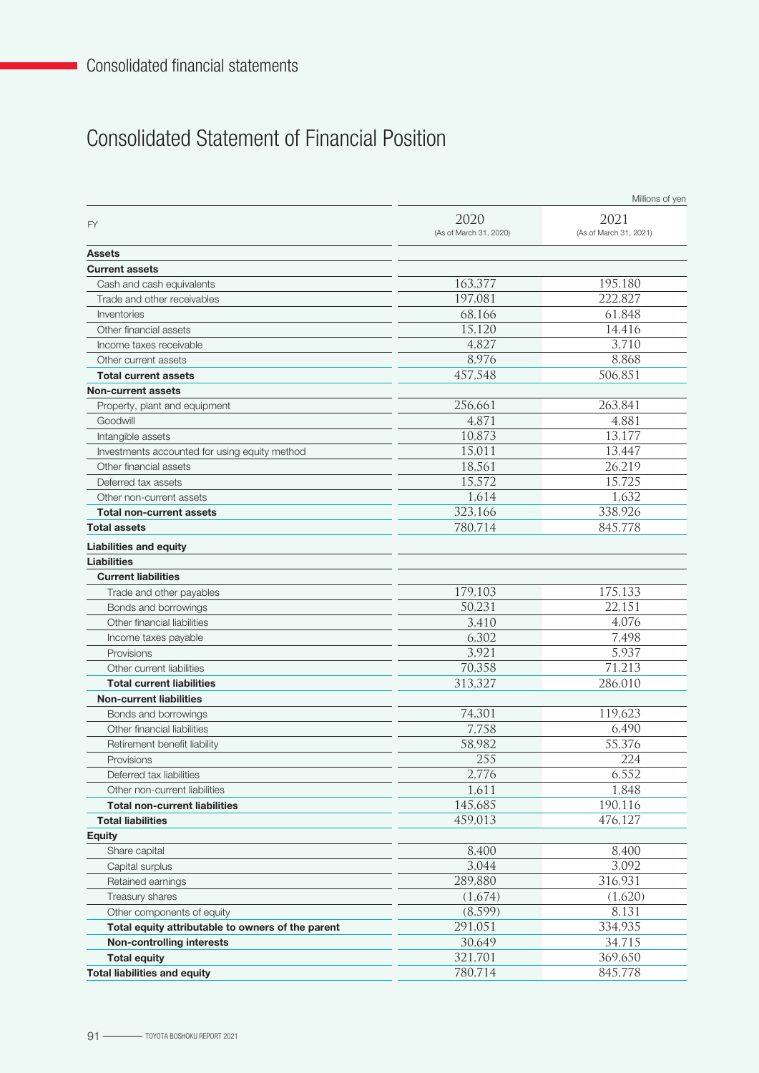٦

### Consolidated Statement of Financial Position

|                                                   |                                | Millions of yen                |
|---------------------------------------------------|--------------------------------|--------------------------------|
| <b>FY</b>                                         | 2020<br>(As of March 31, 2020) | 2021<br>(As of March 31, 2021) |
| <b>Assets</b>                                     |                                |                                |
| <b>Current assets</b>                             |                                |                                |
| Cash and cash equivalents                         | 163,377                        | 195,180                        |
| Trade and other receivables                       | 197,081                        | 222,827                        |
| Inventories                                       | 68,166                         | 61,848                         |
| Other financial assets                            | 15,120                         | 14,416                         |
| Income taxes receivable                           | 4,827                          | 3,710                          |
| Other current assets                              | 8,976                          | 8,868                          |
| <b>Total current assets</b>                       | 457,548                        | 506,851                        |
| <b>Non-current assets</b>                         |                                |                                |
| Property, plant and equipment                     | 256,661                        | 263,841                        |
| Goodwill                                          | 4,871                          | 4,881                          |
| Intangible assets                                 | 10,873                         | 13,177                         |
| Investments accounted for using equity method     | 15,011                         | 13,447                         |
| Other financial assets                            | 18,561                         | 26,219                         |
| Deferred tax assets                               | 15,572                         | 15,725                         |
| Other non-current assets                          | 1,614                          | 1,632                          |
| <b>Total non-current assets</b>                   | 323,166                        | 338,926                        |
| <b>Total assets</b>                               | 780,714                        | 845,778                        |
| <b>Liabilities and equity</b>                     |                                |                                |
| Liabilities                                       |                                |                                |
| <b>Current liabilities</b>                        |                                |                                |
| Trade and other payables                          | 179,103                        | 175,133                        |
| Bonds and borrowings                              | 50,231                         | 22,151                         |
| Other financial liabilities                       | 3,410                          | 4,076                          |
| Income taxes payable                              | 6,302                          | 7,498                          |
| Provisions                                        | 3,921                          | 5,937                          |
| Other current liabilities                         | 70,358                         | 71,213                         |
| <b>Total current liabilities</b>                  | 313,327                        | 286,010                        |
| <b>Non-current liabilities</b>                    |                                |                                |
| Bonds and borrowings                              | 74,301                         | 119,623                        |
| Other financial liabilities                       | 7,758                          | 6,490                          |
| Retirement benefit liability                      | 58,982                         | 55,376                         |
| Provisions                                        | 255                            | 224                            |
| Deferred tax liabilities                          | 2,776                          | 6,552                          |
| Other non-current liabilities                     | 1,611                          | 1,848                          |
| <b>Total non-current liabilities</b>              | 145,685                        | 190,116                        |
| <b>Total liabilities</b>                          | 459,013                        | 476,127                        |
| <b>Equity</b>                                     |                                |                                |
| Share capital                                     | 8,400                          | 8,400                          |
| Capital surplus                                   | 3,044                          | 3,092                          |
| Retained earnings                                 | 289,880                        | 316,931                        |
| Treasury shares                                   | (1,674)                        | (1,620)                        |
| Other components of equity                        | (8,599)                        | 8,131                          |
| Total equity attributable to owners of the parent | 291,051                        | 334,935                        |
| Non-controlling interests                         | 30,649                         | 34,715                         |
| <b>Total equity</b>                               | 321,701                        | 369,650                        |
| <b>Total liabilities and equity</b>               | 780,714                        | 845,778                        |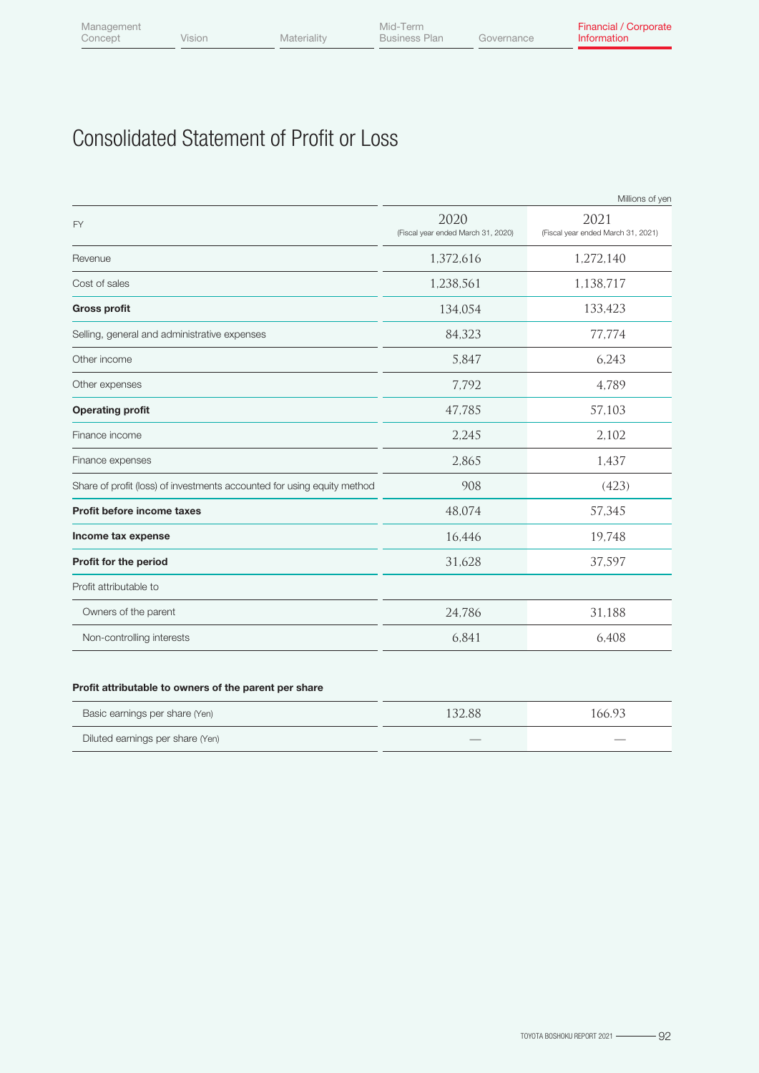## Consolidated Statement of Profit or Loss

| 2020<br>2021<br>(Fiscal year ended March 31, 2020)<br>(Fiscal year ended March 31, 2021)<br>1,372,616<br>1,272,140<br>1,238,561<br>1,138,717<br>134,054<br>133,423<br>84,323<br>77,774<br>5,847<br>6,243<br>7,792<br>4,789<br>47,785<br>57,103<br>2,102<br>2,245<br>2,865<br>1,437<br>(423)<br>908<br>48,074<br>57,345<br>16,446<br>19,748<br>37,597<br>31,628<br>24,786<br>31,188<br>Owners of the parent<br>6,841<br>6,408<br>Non-controlling interests |                                                                         | Millions of yen |
|-----------------------------------------------------------------------------------------------------------------------------------------------------------------------------------------------------------------------------------------------------------------------------------------------------------------------------------------------------------------------------------------------------------------------------------------------------------|-------------------------------------------------------------------------|-----------------|
|                                                                                                                                                                                                                                                                                                                                                                                                                                                           | <b>FY</b>                                                               |                 |
|                                                                                                                                                                                                                                                                                                                                                                                                                                                           | Revenue                                                                 |                 |
|                                                                                                                                                                                                                                                                                                                                                                                                                                                           | Cost of sales                                                           |                 |
|                                                                                                                                                                                                                                                                                                                                                                                                                                                           | <b>Gross profit</b>                                                     |                 |
|                                                                                                                                                                                                                                                                                                                                                                                                                                                           | Selling, general and administrative expenses                            |                 |
|                                                                                                                                                                                                                                                                                                                                                                                                                                                           | Other income                                                            |                 |
|                                                                                                                                                                                                                                                                                                                                                                                                                                                           | Other expenses                                                          |                 |
|                                                                                                                                                                                                                                                                                                                                                                                                                                                           | <b>Operating profit</b>                                                 |                 |
|                                                                                                                                                                                                                                                                                                                                                                                                                                                           | Finance income                                                          |                 |
|                                                                                                                                                                                                                                                                                                                                                                                                                                                           | Finance expenses                                                        |                 |
|                                                                                                                                                                                                                                                                                                                                                                                                                                                           | Share of profit (loss) of investments accounted for using equity method |                 |
|                                                                                                                                                                                                                                                                                                                                                                                                                                                           | Profit before income taxes                                              |                 |
|                                                                                                                                                                                                                                                                                                                                                                                                                                                           | Income tax expense                                                      |                 |
|                                                                                                                                                                                                                                                                                                                                                                                                                                                           | Profit for the period                                                   |                 |
|                                                                                                                                                                                                                                                                                                                                                                                                                                                           | Profit attributable to                                                  |                 |
|                                                                                                                                                                                                                                                                                                                                                                                                                                                           |                                                                         |                 |
|                                                                                                                                                                                                                                                                                                                                                                                                                                                           |                                                                         |                 |

#### Profit attributable to owners of the parent per share

| Basic earnings per share (Yen)   | 132.88                   | 166.93 |
|----------------------------------|--------------------------|--------|
| Diluted earnings per share (Yen) | $\overline{\phantom{a}}$ |        |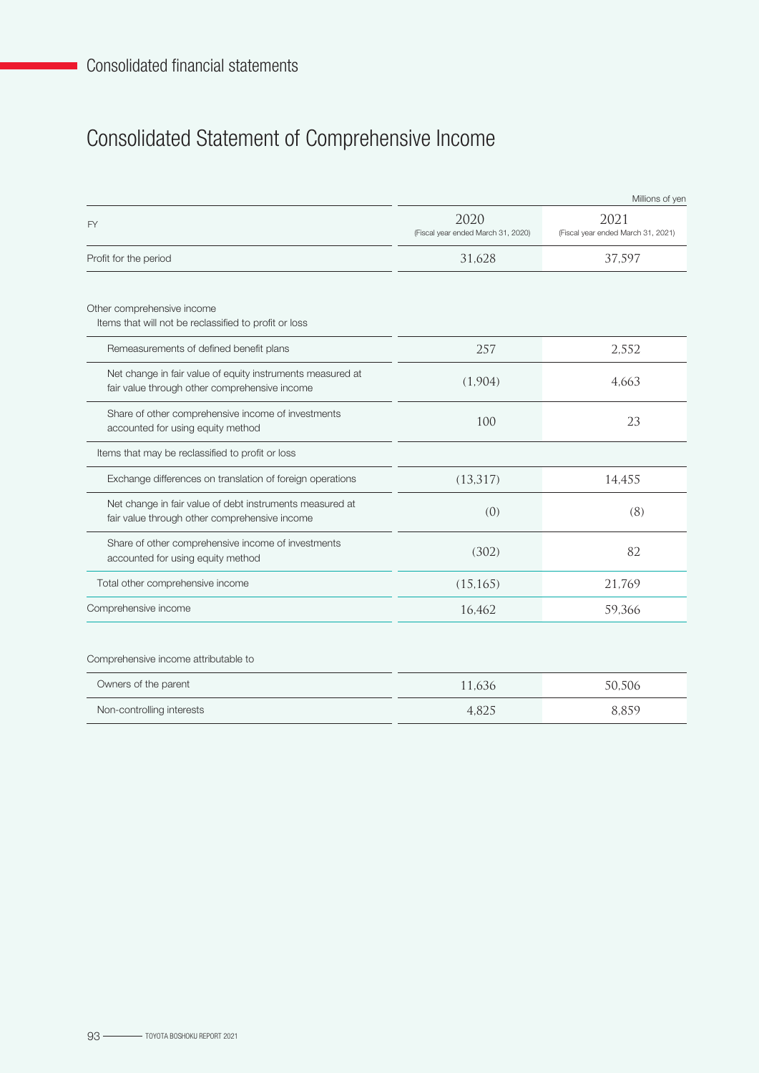# Consolidated Statement of Comprehensive Income

|                                                                                                             |                                            | Millions of yen                            |
|-------------------------------------------------------------------------------------------------------------|--------------------------------------------|--------------------------------------------|
| FY                                                                                                          | 2020<br>(Fiscal year ended March 31, 2020) | 2021<br>(Fiscal year ended March 31, 2021) |
| Profit for the period                                                                                       | 31,628                                     | 37,597                                     |
| Other comprehensive income<br>Items that will not be reclassified to profit or loss                         |                                            |                                            |
| Remeasurements of defined benefit plans                                                                     | 257                                        | 2,552                                      |
| Net change in fair value of equity instruments measured at<br>fair value through other comprehensive income | (1,904)                                    | 4,663                                      |
| Share of other comprehensive income of investments<br>accounted for using equity method                     | 100                                        | 23                                         |
| Items that may be reclassified to profit or loss                                                            |                                            |                                            |
| Exchange differences on translation of foreign operations                                                   | (13, 317)                                  | 14,455                                     |
| Net change in fair value of debt instruments measured at<br>fair value through other comprehensive income   | (0)                                        | (8)                                        |
| Share of other comprehensive income of investments<br>accounted for using equity method                     | (302)                                      | 82                                         |
| Total other comprehensive income                                                                            | (15, 165)                                  | 21,769                                     |
| Comprehensive income                                                                                        | 16,462                                     | 59,366                                     |
| Comprehensive income attributable to                                                                        |                                            |                                            |
| Owners of the parent                                                                                        | 11,636                                     | 50,506                                     |
| Non-controlling interests                                                                                   | 4,825                                      | 8,859                                      |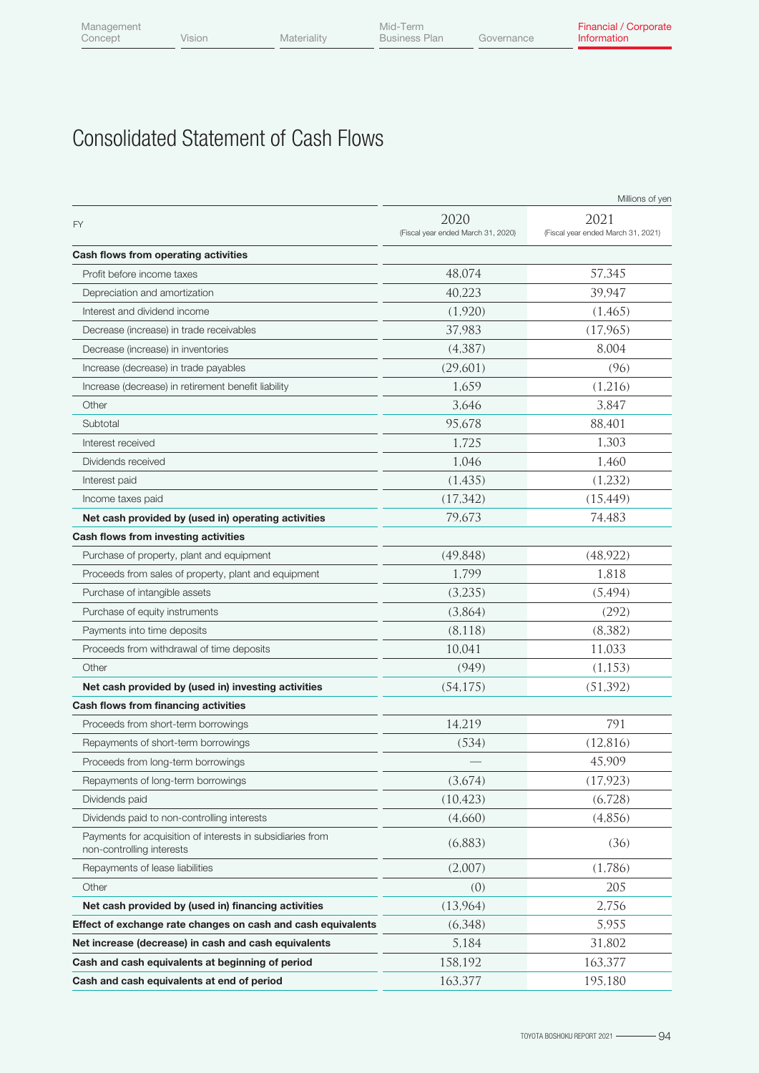## Consolidated Statement of Cash Flows

|                                                                                         |                                            | Millions of yen                            |
|-----------------------------------------------------------------------------------------|--------------------------------------------|--------------------------------------------|
| <b>FY</b>                                                                               | 2020<br>(Fiscal year ended March 31, 2020) | 2021<br>(Fiscal year ended March 31, 2021) |
| Cash flows from operating activities                                                    |                                            |                                            |
| Profit before income taxes                                                              | 48,074                                     | 57,345                                     |
| Depreciation and amortization                                                           | 40,223                                     | 39,947                                     |
| Interest and dividend income                                                            | (1,920)                                    | (1,465)                                    |
| Decrease (increase) in trade receivables                                                | 37,983                                     | (17,965)                                   |
| Decrease (increase) in inventories                                                      | (4,387)                                    | 8,004                                      |
| Increase (decrease) in trade payables                                                   | (29,601)                                   | (96)                                       |
| Increase (decrease) in retirement benefit liability                                     | 1,659                                      | (1,216)                                    |
| Other                                                                                   | 3,646                                      | 3,847                                      |
| Subtotal                                                                                | 95,678                                     | 88,401                                     |
| Interest received                                                                       | 1,725                                      | 1,303                                      |
| Dividends received                                                                      | 1,046                                      | 1,460                                      |
| Interest paid                                                                           | (1,435)                                    | (1,232)                                    |
| Income taxes paid                                                                       | (17, 342)                                  | (15, 449)                                  |
| Net cash provided by (used in) operating activities                                     | 79,673                                     | 74,483                                     |
| Cash flows from investing activities                                                    |                                            |                                            |
| Purchase of property, plant and equipment                                               | (49, 848)                                  | (48, 922)                                  |
| Proceeds from sales of property, plant and equipment                                    | 1,799                                      | 1,818                                      |
| Purchase of intangible assets                                                           | (3,235)                                    | (5,494)                                    |
| Purchase of equity instruments                                                          | (3,864)                                    | (292)                                      |
| Payments into time deposits                                                             | (8,118)                                    | (8,382)                                    |
| Proceeds from withdrawal of time deposits                                               | 10,041                                     | 11,033                                     |
| Other                                                                                   | (949)                                      | (1, 153)                                   |
| Net cash provided by (used in) investing activities                                     | (54, 175)                                  | (51, 392)                                  |
| Cash flows from financing activities                                                    |                                            |                                            |
| Proceeds from short-term borrowings                                                     | 14,219                                     | 791                                        |
| Repayments of short-term borrowings                                                     | (534)                                      | (12, 816)                                  |
| Proceeds from long-term borrowings                                                      |                                            | 45,909                                     |
| Repayments of long-term borrowings                                                      | (3,674)                                    | (17, 923)                                  |
| Dividends paid                                                                          | (10, 423)                                  | (6,728)                                    |
| Dividends paid to non-controlling interests                                             | (4,660)                                    | (4,856)                                    |
| Payments for acquisition of interests in subsidiaries from<br>non-controlling interests | (6,883)                                    | (36)                                       |
| Repayments of lease liabilities                                                         | (2,007)                                    | (1,786)                                    |
| Other                                                                                   | (0)                                        | 205                                        |
| Net cash provided by (used in) financing activities                                     | (13,964)                                   | 2,756                                      |
| Effect of exchange rate changes on cash and cash equivalents                            | (6,348)                                    | 5,955                                      |
| Net increase (decrease) in cash and cash equivalents                                    | 5,184                                      | 31,802                                     |
| Cash and cash equivalents at beginning of period                                        | 158,192                                    | 163,377                                    |
| Cash and cash equivalents at end of period                                              | 163,377                                    | 195,180                                    |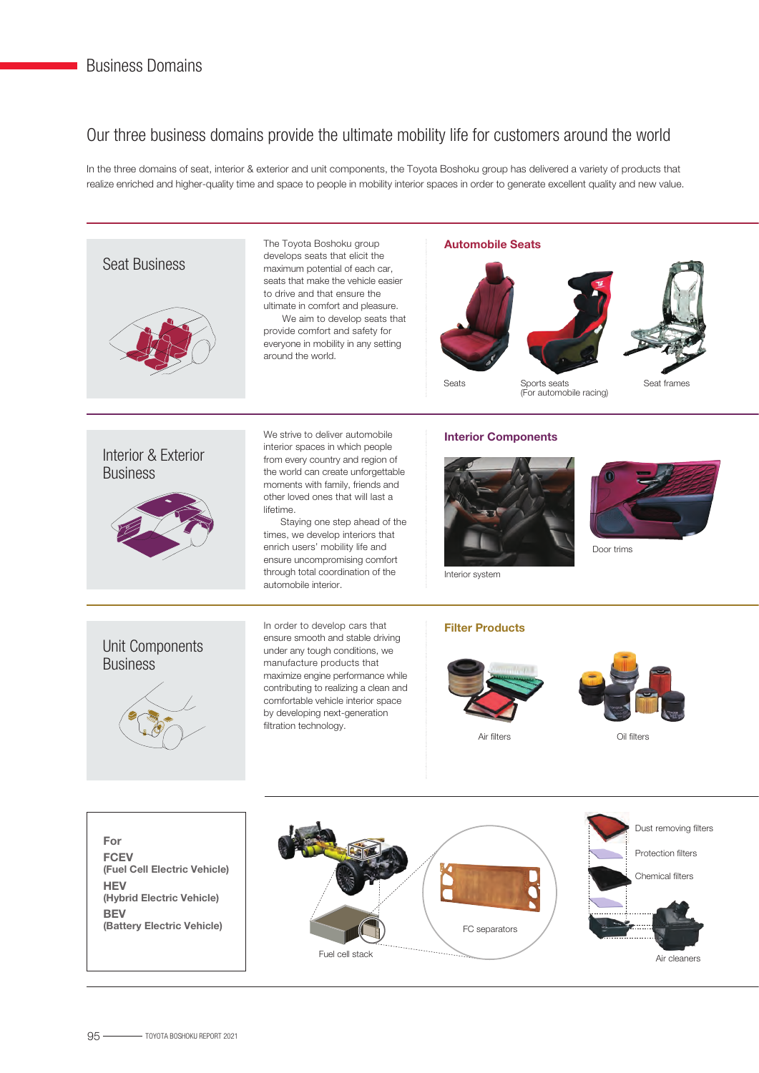### Our three business domains provide the ultimate mobility life for customers around the world

In the three domains of seat, interior & exterior and unit components, the Toyota Boshoku group has delivered a variety of products that realize enriched and higher-quality time and space to people in mobility interior spaces in order to generate excellent quality and new value.

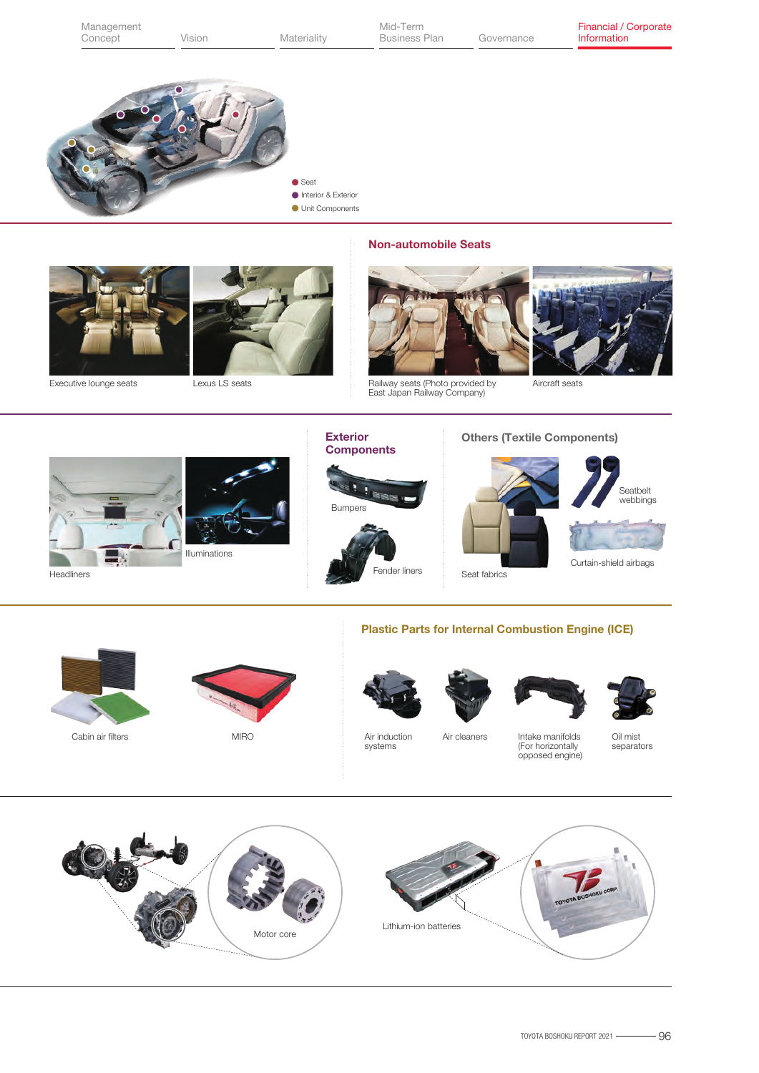|            | Management<br>Concept  | Vision         | Materiality                                            | Mid-Term<br><b>Business Plan</b>                                                               | Governance                                         |                                                          | Financial / Corporate<br>Information           |
|------------|------------------------|----------------|--------------------------------------------------------|------------------------------------------------------------------------------------------------|----------------------------------------------------|----------------------------------------------------------|------------------------------------------------|
|            |                        |                | Seat<br>Interior & Exterior<br><b>Unit Components</b>  |                                                                                                |                                                    |                                                          |                                                |
|            | Executive lounge seats | Lexus LS seats |                                                        | <b>Non-automobile Seats</b><br>Railway seats (Photo provided by<br>East Japan Railway Company) |                                                    | Aircraft seats                                           |                                                |
| Headliners |                        | Illuminations  | <b>Exterior</b><br><b>Components</b><br><b>Bumpers</b> | Fender liners                                                                                  | <b>Others (Textile Components)</b><br>Seat fabrics |                                                          | Seatbelt<br>webbings<br>Curtain-shield airbags |
|            | Cabin air filters      | <b>MIRO</b>    |                                                        | <b>Plastic Parts for Internal Combustion Engine (ICE)</b><br>Air induction<br>systems          | Air cleaners                                       | Intake manifolds<br>(For horizontally<br>opposed engine) | Oil mist<br>separators                         |
|            |                        |                |                                                        |                                                                                                |                                                    |                                                          | TOYOTA BOSHOKU CORP.                           |

Motor core

 $\sim$ 

Lithium-ion batteries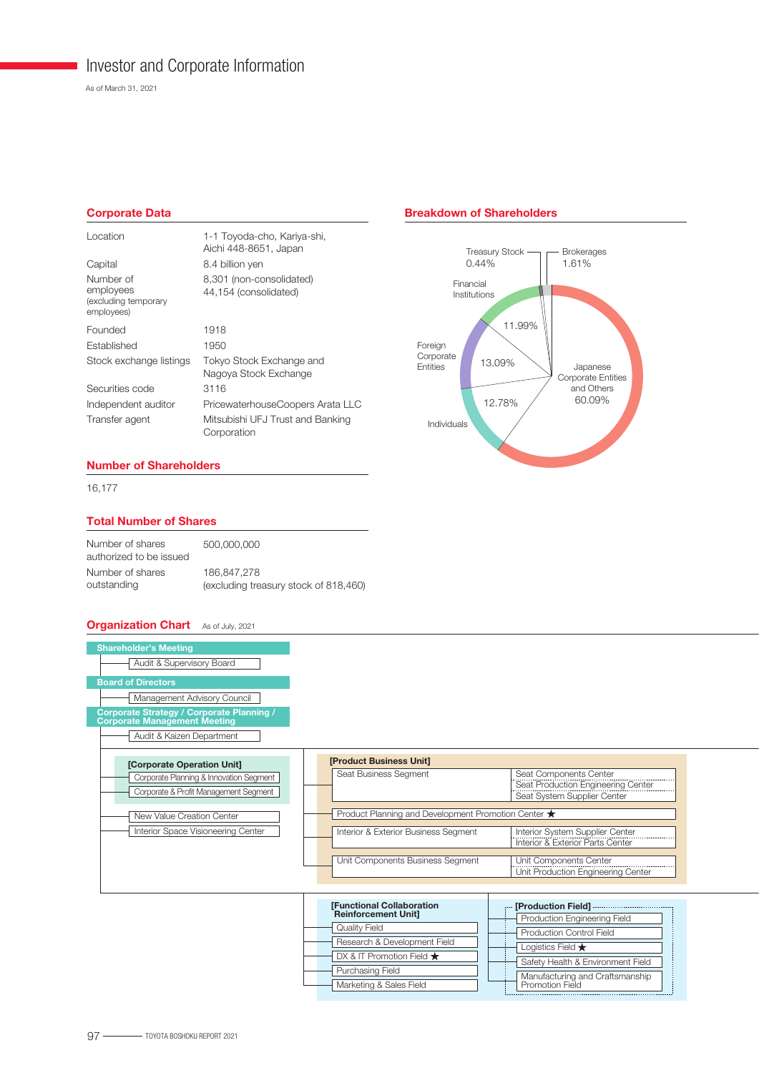### Investor and Corporate Information

As of March 31, 2021

#### Corporate Data

| 1-1 Toyoda-cho, Kariya-shi,<br>Aichi 448-8651, Japan |
|------------------------------------------------------|
| 8.4 billion yen                                      |
| 8,301 (non-consolidated)<br>44,154 (consolidated)    |
| 1918                                                 |
| 1950                                                 |
| Tokyo Stock Exchange and<br>Nagoya Stock Exchange    |
| 3116                                                 |
| PricewaterhouseCoopers Arata LLC                     |
| Mitsubishi UFJ Trust and Banking<br>Corporation      |
|                                                      |

#### Breakdown of Shareholders



#### Number of Shareholders

16,177

#### Total Number of Shares

| Number of shares<br>authorized to be issued | 500,000,000                           |
|---------------------------------------------|---------------------------------------|
| Number of shares                            | 186,847,278                           |
| outstanding                                 | (excluding treasury stock of 818,460) |

#### **Organization Chart** As of July, 2021

| <b>Shareholder's Meeting</b><br>Audit & Supervisory Board<br><b>Board of Directors</b><br>Management Advisory Council<br><b>Corporate Strategy / Corporate Planning /</b><br><b>Corporate Management Meeting</b><br>Audit & Kaizen Department |                                                                                                         |                                                                                                                                     |
|-----------------------------------------------------------------------------------------------------------------------------------------------------------------------------------------------------------------------------------------------|---------------------------------------------------------------------------------------------------------|-------------------------------------------------------------------------------------------------------------------------------------|
| [Corporate Operation Unit]<br>Corporate Planning & Innovation Segment<br>Corporate & Profit Management Segment<br>New Value Creation Center                                                                                                   | [Product Business Unit]<br>Seat Business Segment<br>Product Planning and Development Promotion Center ★ | Seat Components Center<br>Seat Production Engineering Center<br>Seat System Supplier Center                                         |
| Interior Space Visioneering Center                                                                                                                                                                                                            | Interior & Exterior Business Segment<br>Unit Components Business Segment                                | Interior System Supplier Center<br>Interior & Exterior Parts Center<br>Unit Components Center<br>Unit Production Engineering Center |

| [Functional Collaboration                                          | [Production Field]                                                   |  |  |
|--------------------------------------------------------------------|----------------------------------------------------------------------|--|--|
| <b>Reinforcement Unit]</b><br>Quality Field                        | Production Engineering Field<br><b>Production Control Field</b>      |  |  |
| Research & Development Field<br>DX & IT Promotion Field $\bigstar$ | Logistics Field $\bigstar$                                           |  |  |
| Purchasing Field                                                   | Safety Health & Environment Field<br>Manufacturing and Craftsmanship |  |  |
| Marketing & Sales Field                                            | Promotion Field                                                      |  |  |